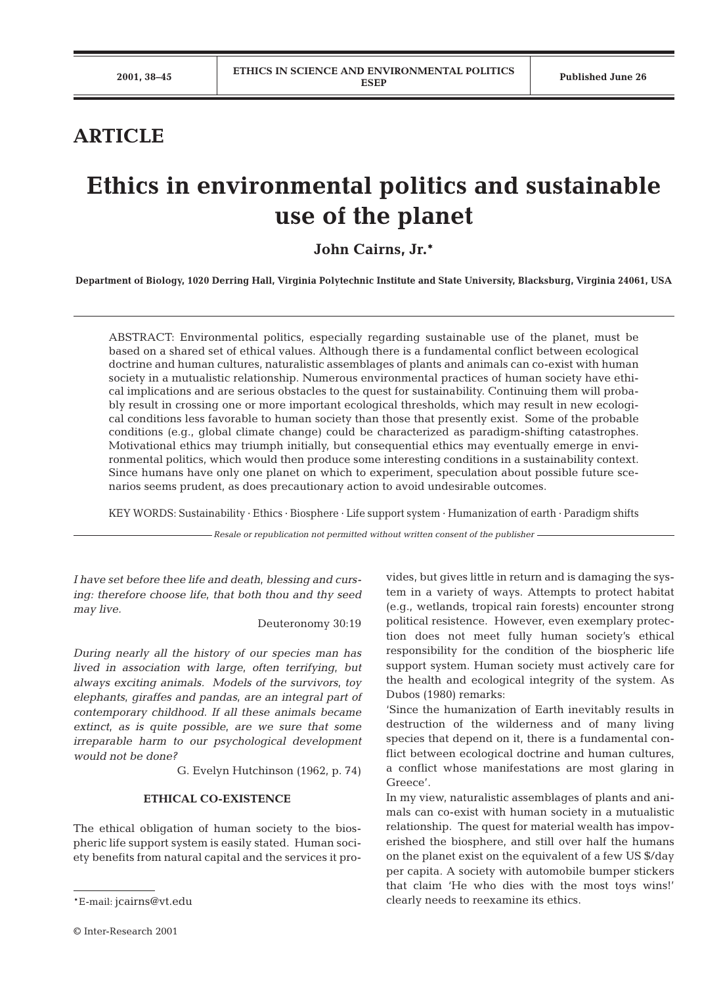# **ARTICLE**

# **Ethics in environmental politics and sustainable use of the planet**

**John Cairns, Jr.\***

**Department of Biology, 1020 Derring Hall, Virginia Polytechnic Institute and State University, Blacksburg, Virginia 24061, USA**

ABSTRACT: Environmental politics, especially regarding sustainable use of the planet, must be based on a shared set of ethical values. Although there is a fundamental conflict between ecological doctrine and human cultures, naturalistic assemblages of plants and animals can co-exist with human society in a mutualistic relationship. Numerous environmental practices of human society have ethical implications and are serious obstacles to the quest for sustainability. Continuing them will probably result in crossing one or more important ecological thresholds, which may result in new ecological conditions less favorable to human society than those that presently exist. Some of the probable conditions (e.g., global climate change) could be characterized as paradigm-shifting catastrophes. Motivational ethics may triumph initially, but consequential ethics may eventually emerge in environmental politics, which would then produce some interesting conditions in a sustainability context. Since humans have only one planet on which to experiment, speculation about possible future scenarios seems prudent, as does precautionary action to avoid undesirable outcomes.

KEY WORDS: Sustainability · Ethics · Biosphere · Life support system · Humanization of earth · Paradigm shifts

*Resale or republication not permitted without written consent of the publisher*

*I have set before thee life and death, blessing and cursing: therefore choose life, that both thou and thy seed may live.*

Deuteronomy 30:19

*During nearly all the history of our species man has lived in association with large, often terrifying, but always exciting animals. Models of the survivors, toy elephants, giraffes and pandas, are an integral part of contemporary childhood. If all these animals became extinct, as is quite possible, are we sure that some irreparable harm to our psychological development would not be done?*

G. Evelyn Hutchinson (1962, p. 74)

#### **ETHICAL CO-EXISTENCE**

The ethical obligation of human society to the biospheric life support system is easily stated. Human society benefits from natural capital and the services it provides, but gives little in return and is damaging the system in a variety of ways. Attempts to protect habitat (e.g., wetlands, tropical rain forests) encounter strong political resistence. However, even exemplary protection does not meet fully human society's ethical responsibility for the condition of the biospheric life support system. Human society must actively care for the health and ecological integrity of the system. As Dubos (1980) remarks:

'Since the humanization of Earth inevitably results in destruction of the wilderness and of many living species that depend on it, there is a fundamental conflict between ecological doctrine and human cultures, a conflict whose manifestations are most glaring in Greece'.

In my view, naturalistic assemblages of plants and animals can co-exist with human society in a mutualistic relationship. The quest for material wealth has impoverished the biosphere, and still over half the humans on the planet exist on the equivalent of a few US \$/day per capita. A society with automobile bumper stickers that claim 'He who dies with the most toys wins!' clearly needs to reexamine its ethics.

<sup>\*</sup>E-mail: jcairns@vt.edu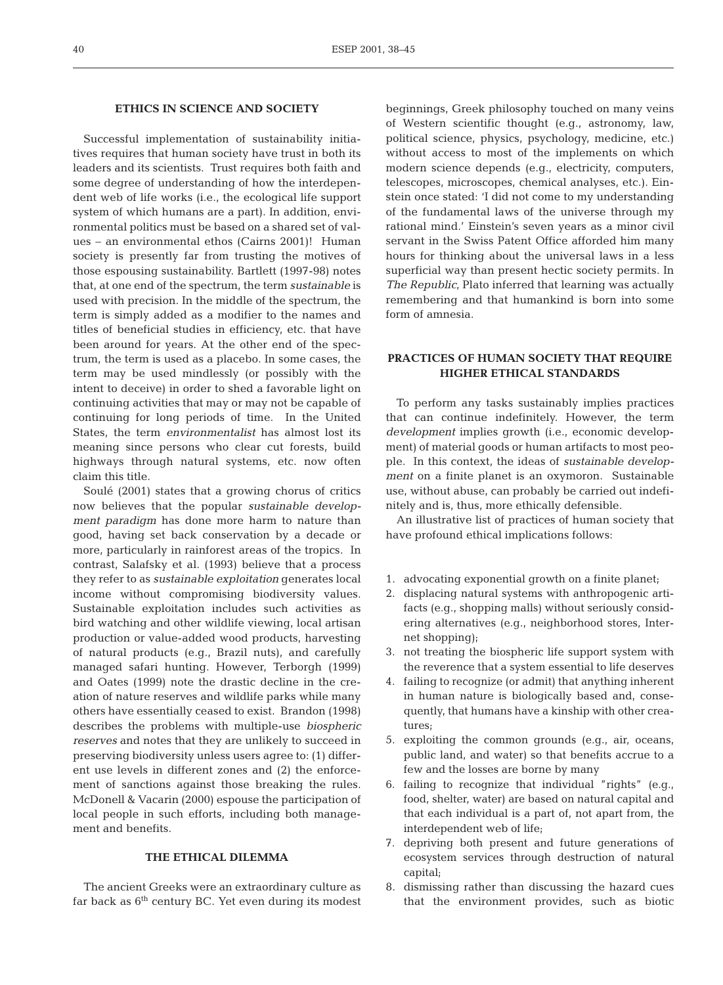## **ETHICS IN SCIENCE AND SOCIETY**

Successful implementation of sustainability initiatives requires that human society have trust in both its leaders and its scientists. Trust requires both faith and some degree of understanding of how the interdependent web of life works (i.e., the ecological life support system of which humans are a part). In addition, environmental politics must be based on a shared set of values – an environmental ethos (Cairns 2001)! Human society is presently far from trusting the motives of those espousing sustainability. Bartlett (1997-98) notes that, at one end of the spectrum, the term *sustainable* is used with precision. In the middle of the spectrum, the term is simply added as a modifier to the names and titles of beneficial studies in efficiency, etc. that have been around for years. At the other end of the spectrum, the term is used as a placebo. In some cases, the term may be used mindlessly (or possibly with the intent to deceive) in order to shed a favorable light on continuing activities that may or may not be capable of continuing for long periods of time. In the United States, the term *environmentalist* has almost lost its meaning since persons who clear cut forests, build highways through natural systems, etc. now often claim this title.

Soulé (2001) states that a growing chorus of critics now believes that the popular *sustainable development paradigm* has done more harm to nature than good, having set back conservation by a decade or more, particularly in rainforest areas of the tropics. In contrast, Salafsky et al. (1993) believe that a process they refer to as *sustainable exploitation* generates local income without compromising biodiversity values. Sustainable exploitation includes such activities as bird watching and other wildlife viewing, local artisan production or value-added wood products, harvesting of natural products (e.g., Brazil nuts), and carefully managed safari hunting. However, Terborgh (1999) and Oates (1999) note the drastic decline in the creation of nature reserves and wildlife parks while many others have essentially ceased to exist. Brandon (1998) describes the problems with multiple-use *biospheric reserves* and notes that they are unlikely to succeed in preserving biodiversity unless users agree to: (1) different use levels in different zones and (2) the enforcement of sanctions against those breaking the rules. McDonell & Vacarin (2000) espouse the participation of local people in such efforts, including both management and benefits.

#### **THE ETHICAL DILEMMA**

The ancient Greeks were an extraordinary culture as far back as  $6<sup>th</sup>$  century BC. Yet even during its modest

beginnings, Greek philosophy touched on many veins of Western scientific thought (e.g., astronomy, law, political science, physics, psychology, medicine, etc.) without access to most of the implements on which modern science depends (e.g., electricity, computers, telescopes, microscopes, chemical analyses, etc.). Einstein once stated: 'I did not come to my understanding of the fundamental laws of the universe through my rational mind.' Einstein's seven years as a minor civil servant in the Swiss Patent Office afforded him many hours for thinking about the universal laws in a less superficial way than present hectic society permits. In *The Republic*, Plato inferred that learning was actually remembering and that humankind is born into some form of amnesia.

# **PRACTICES OF HUMAN SOCIETY THAT REQUIRE HIGHER ETHICAL STANDARDS**

To perform any tasks sustainably implies practices that can continue indefinitely. However, the term *development* implies growth (i.e., economic development) of material goods or human artifacts to most people. In this context, the ideas of *sustainable development* on a finite planet is an oxymoron. Sustainable use, without abuse, can probably be carried out indefinitely and is, thus, more ethically defensible.

An illustrative list of practices of human society that have profound ethical implications follows:

- 1. advocating exponential growth on a finite planet;
- 2. displacing natural systems with anthropogenic artifacts (e.g., shopping malls) without seriously considering alternatives (e.g., neighborhood stores, Internet shopping);
- 3. not treating the biospheric life support system with the reverence that a system essential to life deserves
- 4. failing to recognize (or admit) that anything inherent in human nature is biologically based and, consequently, that humans have a kinship with other creatures;
- 5. exploiting the common grounds (e.g., air, oceans, public land, and water) so that benefits accrue to a few and the losses are borne by many
- 6. failing to recognize that individual "rights" (e.g., food, shelter, water) are based on natural capital and that each individual is a part of, not apart from, the interdependent web of life;
- 7. depriving both present and future generations of ecosystem services through destruction of natural capital;
- 8. dismissing rather than discussing the hazard cues that the environment provides, such as biotic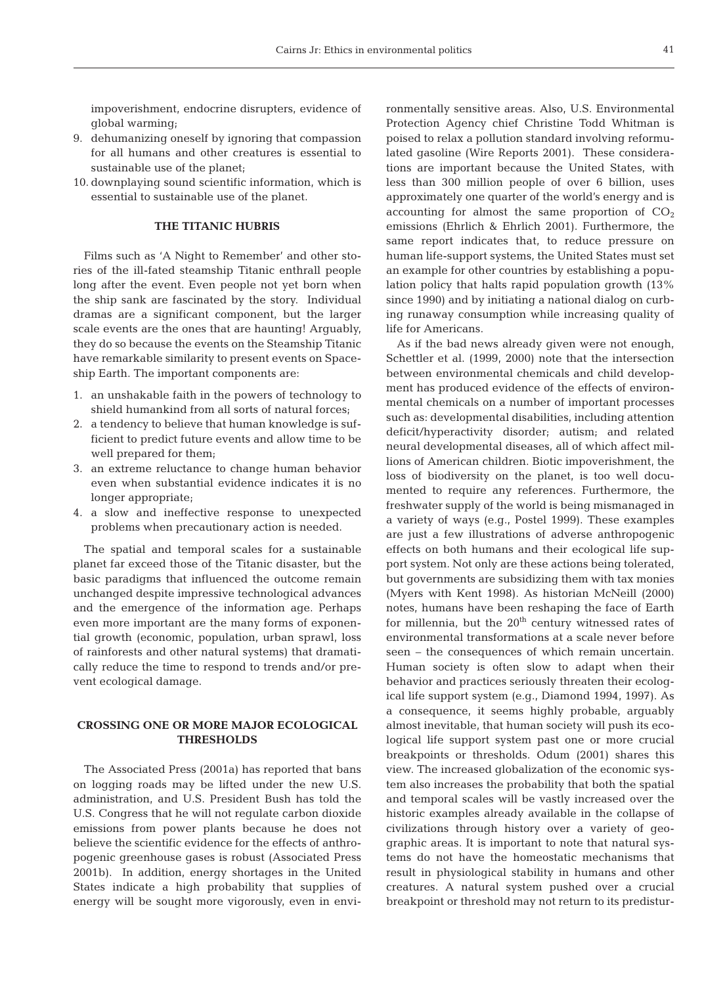impoverishment, endocrine disrupters, evidence of global warming;

- 9. dehumanizing oneself by ignoring that compassion for all humans and other creatures is essential to sustainable use of the planet;
- 10. downplaying sound scientific information, which is essential to sustainable use of the planet.

# **THE TITANIC HUBRIS**

Films such as 'A Night to Remember' and other stories of the ill-fated steamship Titanic enthrall people long after the event. Even people not yet born when the ship sank are fascinated by the story. Individual dramas are a significant component, but the larger scale events are the ones that are haunting! Arguably, they do so because the events on the Steamship Titanic have remarkable similarity to present events on Spaceship Earth. The important components are:

- 1. an unshakable faith in the powers of technology to shield humankind from all sorts of natural forces;
- 2. a tendency to believe that human knowledge is sufficient to predict future events and allow time to be well prepared for them;
- 3. an extreme reluctance to change human behavior even when substantial evidence indicates it is no longer appropriate;
- 4. a slow and ineffective response to unexpected problems when precautionary action is needed.

The spatial and temporal scales for a sustainable planet far exceed those of the Titanic disaster, but the basic paradigms that influenced the outcome remain unchanged despite impressive technological advances and the emergence of the information age. Perhaps even more important are the many forms of exponential growth (economic, population, urban sprawl, loss of rainforests and other natural systems) that dramatically reduce the time to respond to trends and/or prevent ecological damage.

## **CROSSING ONE OR MORE MAJOR ECOLOGICAL THRESHOLDS**

The Associated Press (2001a) has reported that bans on logging roads may be lifted under the new U.S. administration, and U.S. President Bush has told the U.S. Congress that he will not regulate carbon dioxide emissions from power plants because he does not believe the scientific evidence for the effects of anthropogenic greenhouse gases is robust (Associated Press 2001b). In addition, energy shortages in the United States indicate a high probability that supplies of energy will be sought more vigorously, even in environmentally sensitive areas. Also, U.S. Environmental Protection Agency chief Christine Todd Whitman is poised to relax a pollution standard involving reformulated gasoline (Wire Reports 2001). These considerations are important because the United States, with less than 300 million people of over 6 billion, uses approximately one quarter of the world's energy and is accounting for almost the same proportion of  $CO<sub>2</sub>$ emissions (Ehrlich & Ehrlich 2001). Furthermore, the same report indicates that, to reduce pressure on human life-support systems, the United States must set an example for other countries by establishing a population policy that halts rapid population growth (13% since 1990) and by initiating a national dialog on curbing runaway consumption while increasing quality of life for Americans.

As if the bad news already given were not enough, Schettler et al. (1999, 2000) note that the intersection between environmental chemicals and child development has produced evidence of the effects of environmental chemicals on a number of important processes such as: developmental disabilities, including attention deficit/hyperactivity disorder; autism; and related neural developmental diseases, all of which affect millions of American children. Biotic impoverishment, the loss of biodiversity on the planet, is too well documented to require any references. Furthermore, the freshwater supply of the world is being mismanaged in a variety of ways (e.g., Postel 1999). These examples are just a few illustrations of adverse anthropogenic effects on both humans and their ecological life support system. Not only are these actions being tolerated, but governments are subsidizing them with tax monies (Myers with Kent 1998). As historian McNeill (2000) notes, humans have been reshaping the face of Earth for millennia, but the  $20<sup>th</sup>$  century witnessed rates of environmental transformations at a scale never before seen – the consequences of which remain uncertain. Human society is often slow to adapt when their behavior and practices seriously threaten their ecological life support system (e.g., Diamond 1994, 1997). As a consequence, it seems highly probable, arguably almost inevitable, that human society will push its ecological life support system past one or more crucial breakpoints or thresholds. Odum (2001) shares this view. The increased globalization of the economic system also increases the probability that both the spatial and temporal scales will be vastly increased over the historic examples already available in the collapse of civilizations through history over a variety of geographic areas. It is important to note that natural systems do not have the homeostatic mechanisms that result in physiological stability in humans and other creatures. A natural system pushed over a crucial breakpoint or threshold may not return to its predistur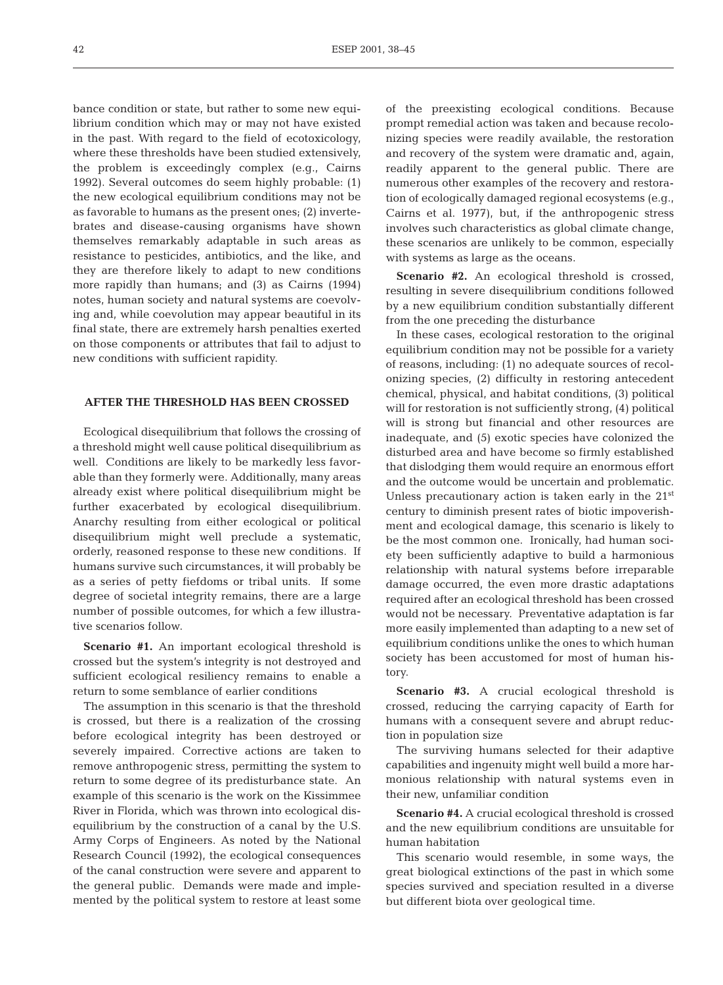bance condition or state, but rather to some new equilibrium condition which may or may not have existed in the past. With regard to the field of ecotoxicology, where these thresholds have been studied extensively, the problem is exceedingly complex (e.g., Cairns 1992). Several outcomes do seem highly probable: (1) the new ecological equilibrium conditions may not be as favorable to humans as the present ones; (2) invertebrates and disease-causing organisms have shown themselves remarkably adaptable in such areas as resistance to pesticides, antibiotics, and the like, and they are therefore likely to adapt to new conditions more rapidly than humans; and (3) as Cairns (1994) notes, human society and natural systems are coevolving and, while coevolution may appear beautiful in its final state, there are extremely harsh penalties exerted on those components or attributes that fail to adjust to new conditions with sufficient rapidity.

#### **AFTER THE THRESHOLD HAS BEEN CROSSED**

Ecological disequilibrium that follows the crossing of a threshold might well cause political disequilibrium as well. Conditions are likely to be markedly less favorable than they formerly were. Additionally, many areas already exist where political disequilibrium might be further exacerbated by ecological disequilibrium. Anarchy resulting from either ecological or political disequilibrium might well preclude a systematic, orderly, reasoned response to these new conditions. If humans survive such circumstances, it will probably be as a series of petty fiefdoms or tribal units. If some degree of societal integrity remains, there are a large number of possible outcomes, for which a few illustrative scenarios follow.

**Scenario #1.** An important ecological threshold is crossed but the system's integrity is not destroyed and sufficient ecological resiliency remains to enable a return to some semblance of earlier conditions

The assumption in this scenario is that the threshold is crossed, but there is a realization of the crossing before ecological integrity has been destroyed or severely impaired. Corrective actions are taken to remove anthropogenic stress, permitting the system to return to some degree of its predisturbance state. An example of this scenario is the work on the Kissimmee River in Florida, which was thrown into ecological disequilibrium by the construction of a canal by the U.S. Army Corps of Engineers. As noted by the National Research Council (1992), the ecological consequences of the canal construction were severe and apparent to the general public. Demands were made and implemented by the political system to restore at least some

of the preexisting ecological conditions. Because prompt remedial action was taken and because recolonizing species were readily available, the restoration and recovery of the system were dramatic and, again, readily apparent to the general public. There are numerous other examples of the recovery and restoration of ecologically damaged regional ecosystems (e.g., Cairns et al. 1977), but, if the anthropogenic stress involves such characteristics as global climate change, these scenarios are unlikely to be common, especially with systems as large as the oceans.

Scenario #2. An ecological threshold is crossed. resulting in severe disequilibrium conditions followed by a new equilibrium condition substantially different from the one preceding the disturbance

In these cases, ecological restoration to the original equilibrium condition may not be possible for a variety of reasons, including: (1) no adequate sources of recolonizing species, (2) difficulty in restoring antecedent chemical, physical, and habitat conditions, (3) political will for restoration is not sufficiently strong, (4) political will is strong but financial and other resources are inadequate, and (5) exotic species have colonized the disturbed area and have become so firmly established that dislodging them would require an enormous effort and the outcome would be uncertain and problematic. Unless precautionary action is taken early in the 21<sup>st</sup> century to diminish present rates of biotic impoverishment and ecological damage, this scenario is likely to be the most common one. Ironically, had human society been sufficiently adaptive to build a harmonious relationship with natural systems before irreparable damage occurred, the even more drastic adaptations required after an ecological threshold has been crossed would not be necessary. Preventative adaptation is far more easily implemented than adapting to a new set of equilibrium conditions unlike the ones to which human society has been accustomed for most of human history.

**Scenario #3.** A crucial ecological threshold is crossed, reducing the carrying capacity of Earth for humans with a consequent severe and abrupt reduction in population size

The surviving humans selected for their adaptive capabilities and ingenuity might well build a more harmonious relationship with natural systems even in their new, unfamiliar condition

**Scenario #4.** A crucial ecological threshold is crossed and the new equilibrium conditions are unsuitable for human habitation

This scenario would resemble, in some ways, the great biological extinctions of the past in which some species survived and speciation resulted in a diverse but different biota over geological time.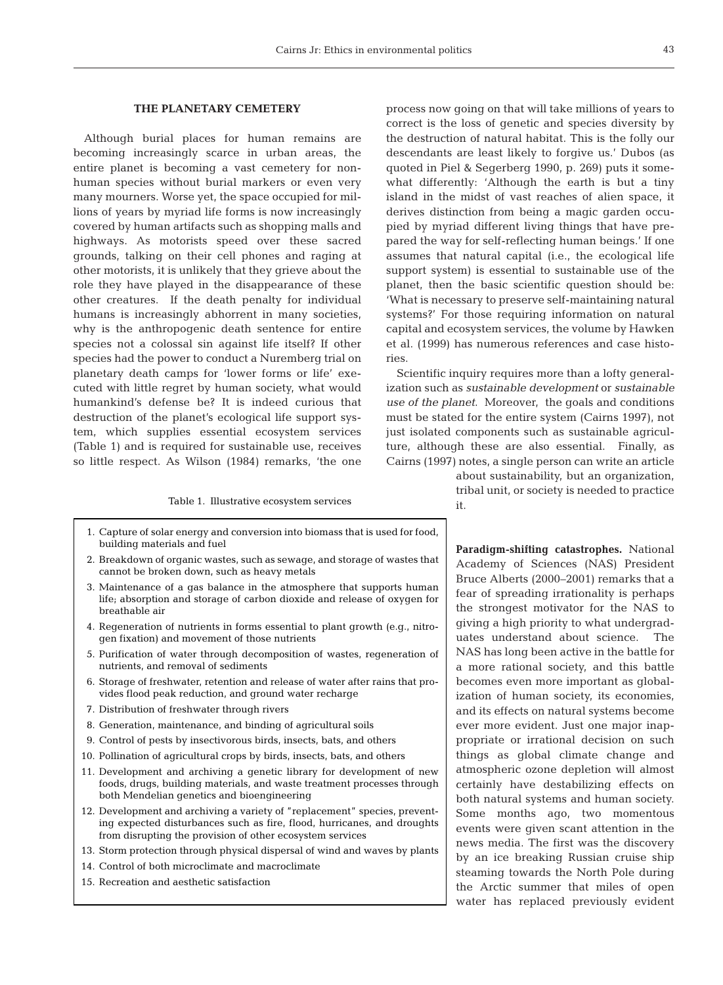#### **THE PLANETARY CEMETERY**

Although burial places for human remains are becoming increasingly scarce in urban areas, the entire planet is becoming a vast cemetery for nonhuman species without burial markers or even very many mourners. Worse yet, the space occupied for millions of years by myriad life forms is now increasingly covered by human artifacts such as shopping malls and highways. As motorists speed over these sacred grounds, talking on their cell phones and raging at other motorists, it is unlikely that they grieve about the role they have played in the disappearance of these other creatures. If the death penalty for individual humans is increasingly abhorrent in many societies, why is the anthropogenic death sentence for entire species not a colossal sin against life itself? If other species had the power to conduct a Nuremberg trial on planetary death camps for 'lower forms or life' executed with little regret by human society, what would humankind's defense be? It is indeed curious that destruction of the planet's ecological life support system, which supplies essential ecosystem services (Table 1) and is required for sustainable use, receives so little respect. As Wilson (1984) remarks, 'the one

Table 1. Illustrative ecosystem services

- 1. Capture of solar energy and conversion into biomass that is used for food, building materials and fuel
- 2. Breakdown of organic wastes, such as sewage, and storage of wastes that cannot be broken down, such as heavy metals
- 3. Maintenance of a gas balance in the atmosphere that supports human life; absorption and storage of carbon dioxide and release of oxygen for breathable air
- 4. Regeneration of nutrients in forms essential to plant growth (e.g., nitrogen fixation) and movement of those nutrients
- 5. Purification of water through decomposition of wastes, regeneration of nutrients, and removal of sediments
- 6. Storage of freshwater, retention and release of water after rains that provides flood peak reduction, and ground water recharge
- 7. Distribution of freshwater through rivers
- 8. Generation, maintenance, and binding of agricultural soils
- 9. Control of pests by insectivorous birds, insects, bats, and others
- 10. Pollination of agricultural crops by birds, insects, bats, and others
- 11. Development and archiving a genetic library for development of new foods, drugs, building materials, and waste treatment processes through both Mendelian genetics and bioengineering
- 12. Development and archiving a variety of "replacement" species, preventing expected disturbances such as fire, flood, hurricanes, and droughts from disrupting the provision of other ecosystem services
- 13. Storm protection through physical dispersal of wind and waves by plants
- 14. Control of both microclimate and macroclimate
- 15. Recreation and aesthetic satisfaction

process now going on that will take millions of years to correct is the loss of genetic and species diversity by the destruction of natural habitat. This is the folly our descendants are least likely to forgive us.' Dubos (as quoted in Piel & Segerberg 1990, p. 269) puts it somewhat differently: 'Although the earth is but a tiny island in the midst of vast reaches of alien space, it derives distinction from being a magic garden occupied by myriad different living things that have prepared the way for self-reflecting human beings.' If one assumes that natural capital (i.e., the ecological life support system) is essential to sustainable use of the planet, then the basic scientific question should be: 'What is necessary to preserve self-maintaining natural systems?' For those requiring information on natural capital and ecosystem services, the volume by Hawken et al. (1999) has numerous references and case histories.

Scientific inquiry requires more than a lofty generalization such as *sustainable development* or *sustainable use of the planet*. Moreover, the goals and conditions must be stated for the entire system (Cairns 1997), not just isolated components such as sustainable agriculture, although these are also essential. Finally, as Cairns (1997) notes, a single person can write an article

> about sustainability, but an organization, tribal unit, or society is needed to practice it.

**Paradigm-shifting catastrophes.** National Academy of Sciences (NAS) President Bruce Alberts (2000–2001) remarks that a fear of spreading irrationality is perhaps the strongest motivator for the NAS to giving a high priority to what undergraduates understand about science. The NAS has long been active in the battle for a more rational society, and this battle becomes even more important as globalization of human society, its economies, and its effects on natural systems become ever more evident. Just one major inappropriate or irrational decision on such things as global climate change and atmospheric ozone depletion will almost certainly have destabilizing effects on both natural systems and human society. Some months ago, two momentous events were given scant attention in the news media. The first was the discovery by an ice breaking Russian cruise ship steaming towards the North Pole during the Arctic summer that miles of open water has replaced previously evident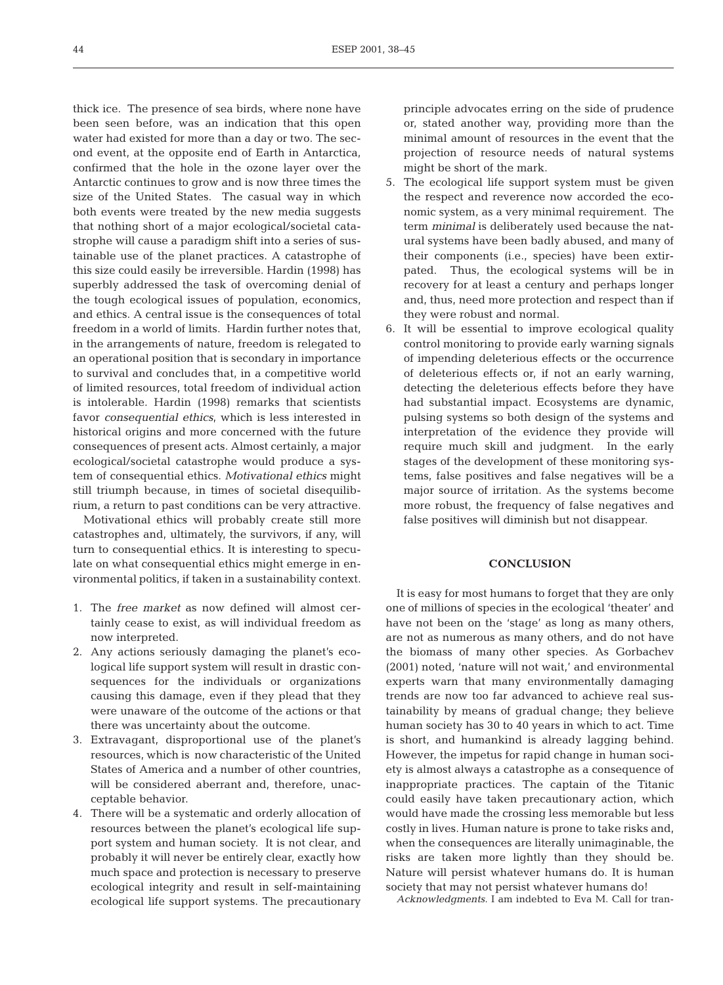thick ice. The presence of sea birds, where none have been seen before, was an indication that this open water had existed for more than a day or two. The second event, at the opposite end of Earth in Antarctica, confirmed that the hole in the ozone layer over the Antarctic continues to grow and is now three times the size of the United States. The casual way in which both events were treated by the new media suggests that nothing short of a major ecological/societal catastrophe will cause a paradigm shift into a series of sustainable use of the planet practices. A catastrophe of this size could easily be irreversible. Hardin (1998) has superbly addressed the task of overcoming denial of the tough ecological issues of population, economics, and ethics. A central issue is the consequences of total freedom in a world of limits. Hardin further notes that, in the arrangements of nature, freedom is relegated to an operational position that is secondary in importance to survival and concludes that, in a competitive world of limited resources, total freedom of individual action is intolerable. Hardin (1998) remarks that scientists favor *consequential ethics,* which is less interested in historical origins and more concerned with the future consequences of present acts. Almost certainly, a major ecological/societal catastrophe would produce a system of consequential ethics. *Motivational ethics* might still triumph because, in times of societal disequilibrium, a return to past conditions can be very attractive.

Motivational ethics will probably create still more catastrophes and, ultimately, the survivors, if any, will turn to consequential ethics. It is interesting to speculate on what consequential ethics might emerge in environmental politics, if taken in a sustainability context.

- 1. The *free market* as now defined will almost certainly cease to exist, as will individual freedom as now interpreted.
- 2. Any actions seriously damaging the planet's ecological life support system will result in drastic consequences for the individuals or organizations causing this damage, even if they plead that they were unaware of the outcome of the actions or that there was uncertainty about the outcome.
- 3. Extravagant, disproportional use of the planet's resources, which is now characteristic of the United States of America and a number of other countries, will be considered aberrant and, therefore, unacceptable behavior.
- 4. There will be a systematic and orderly allocation of resources between the planet's ecological life support system and human society. It is not clear, and probably it will never be entirely clear, exactly how much space and protection is necessary to preserve ecological integrity and result in self-maintaining ecological life support systems. The precautionary

principle advocates erring on the side of prudence or, stated another way, providing more than the minimal amount of resources in the event that the projection of resource needs of natural systems might be short of the mark.

- 5. The ecological life support system must be given the respect and reverence now accorded the economic system, as a very minimal requirement. The term *minimal* is deliberately used because the natural systems have been badly abused, and many of their components (i.e., species) have been extirpated. Thus, the ecological systems will be in recovery for at least a century and perhaps longer and, thus, need more protection and respect than if they were robust and normal.
- 6. It will be essential to improve ecological quality control monitoring to provide early warning signals of impending deleterious effects or the occurrence of deleterious effects or, if not an early warning, detecting the deleterious effects before they have had substantial impact. Ecosystems are dynamic, pulsing systems so both design of the systems and interpretation of the evidence they provide will require much skill and judgment. In the early stages of the development of these monitoring systems, false positives and false negatives will be a major source of irritation. As the systems become more robust, the frequency of false negatives and false positives will diminish but not disappear.

# **CONCLUSION**

It is easy for most humans to forget that they are only one of millions of species in the ecological 'theater' and have not been on the 'stage' as long as many others, are not as numerous as many others, and do not have the biomass of many other species. As Gorbachev (2001) noted, 'nature will not wait,' and environmental experts warn that many environmentally damaging trends are now too far advanced to achieve real sustainability by means of gradual change; they believe human society has 30 to 40 years in which to act. Time is short, and humankind is already lagging behind. However, the impetus for rapid change in human society is almost always a catastrophe as a consequence of inappropriate practices. The captain of the Titanic could easily have taken precautionary action, which would have made the crossing less memorable but less costly in lives. Human nature is prone to take risks and, when the consequences are literally unimaginable, the risks are taken more lightly than they should be. Nature will persist whatever humans do. It is human society that may not persist whatever humans do!

*Acknowledgments.* I am indebted to Eva M. Call for tran-